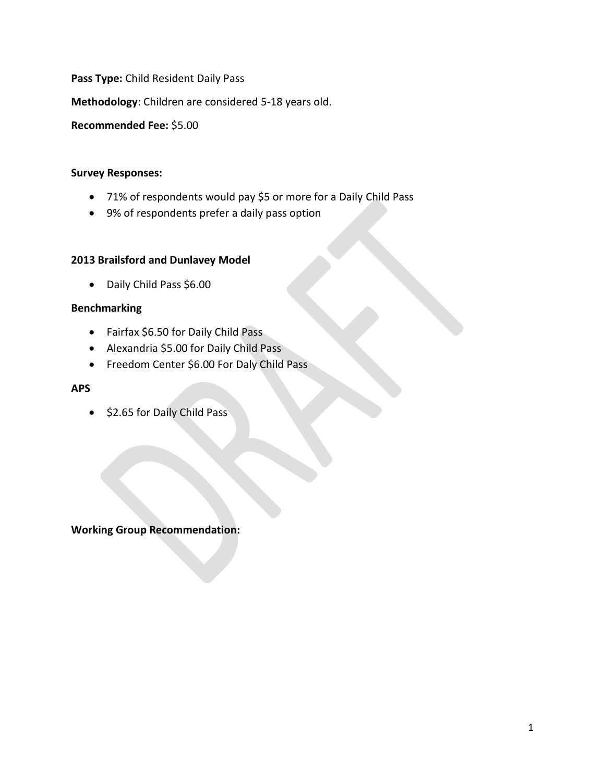**Pass Type:** Child Resident Daily Pass

**Methodology**: Children are considered 5-18 years old.

**Recommended Fee:** \$5.00

#### **Survey Responses:**

- 71% of respondents would pay \$5 or more for a Daily Child Pass
- 9% of respondents prefer a daily pass option

## **2013 Brailsford and Dunlavey Model**

• Daily Child Pass \$6.00

# **Benchmarking**

- Fairfax \$6.50 for Daily Child Pass
- Alexandria \$5.00 for Daily Child Pass
- Freedom Center \$6.00 For Daly Child Pass

### **APS**

• \$2.65 for Daily Child Pass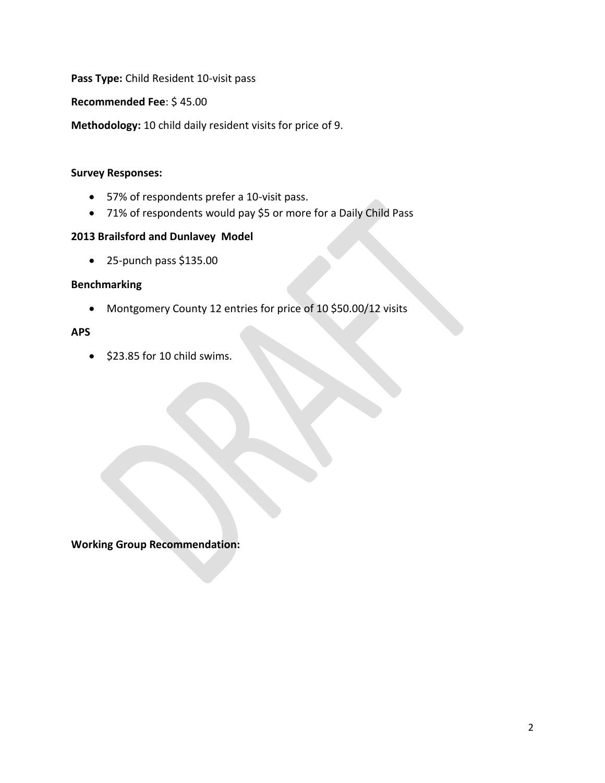**Pass Type:** Child Resident 10-visit pass

**Recommended Fee**: \$ 45.00

**Methodology:** 10 child daily resident visits for price of 9.

## **Survey Responses:**

- 57% of respondents prefer a 10-visit pass.
- 71% of respondents would pay \$5 or more for a Daily Child Pass

## **2013 Brailsford and Dunlavey Model**

• 25-punch pass \$135.00

## **Benchmarking**

• Montgomery County 12 entries for price of 10 \$50.00/12 visits

## **APS**

• \$23.85 for 10 child swims.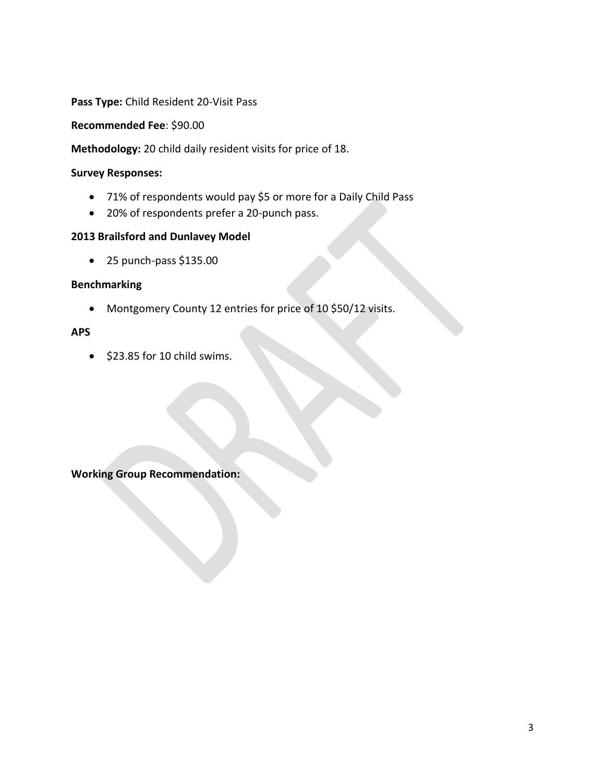**Pass Type:** Child Resident 20-Visit Pass

**Recommended Fee**: \$90.00

**Methodology:** 20 child daily resident visits for price of 18.

#### **Survey Responses:**

- 71% of respondents would pay \$5 or more for a Daily Child Pass
- 20% of respondents prefer a 20-punch pass.

## **2013 Brailsford and Dunlavey Model**

• 25 punch-pass \$135.00

# **Benchmarking**

• Montgomery County 12 entries for price of 10 \$50/12 visits.

#### **APS**

• \$23.85 for 10 child swims.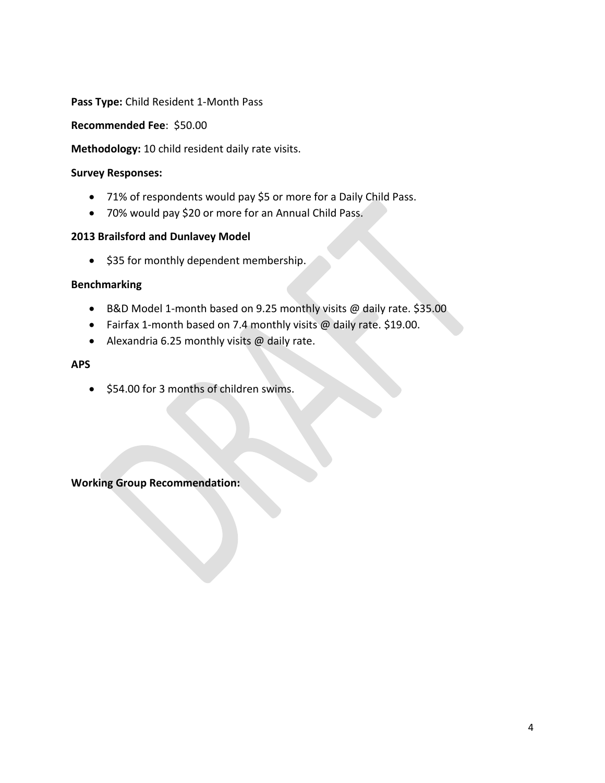**Pass Type:** Child Resident 1-Month Pass

**Recommended Fee**: \$50.00

**Methodology:** 10 child resident daily rate visits.

#### **Survey Responses:**

- 71% of respondents would pay \$5 or more for a Daily Child Pass.
- 70% would pay \$20 or more for an Annual Child Pass.

#### **2013 Brailsford and Dunlavey Model**

• \$35 for monthly dependent membership.

#### **Benchmarking**

- B&D Model 1-month based on 9.25 monthly visits @ daily rate. \$35.00
- Fairfax 1-month based on 7.4 monthly visits @ daily rate. \$19.00.
- Alexandria 6.25 monthly visits @ daily rate.

## **APS**

• \$54.00 for 3 months of children swims.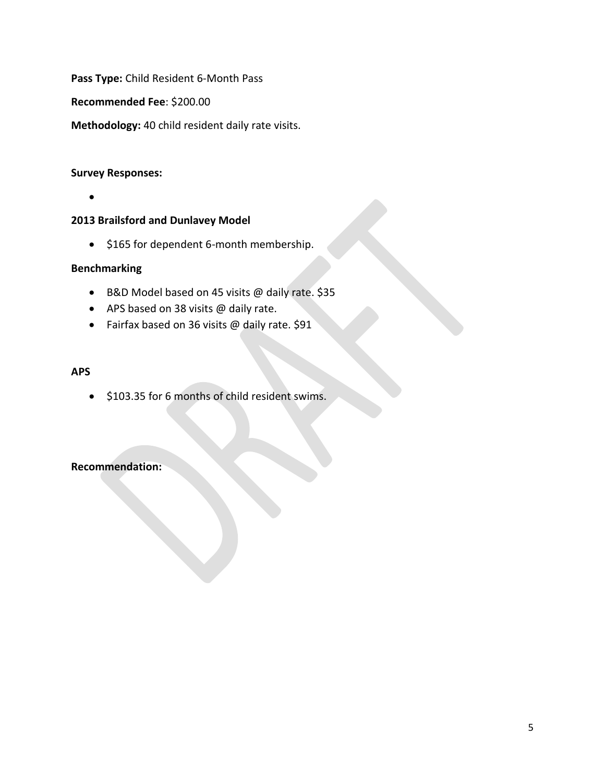**Pass Type:** Child Resident 6-Month Pass

**Recommended Fee**: \$200.00

**Methodology:** 40 child resident daily rate visits.

### **Survey Responses:**

•

## **2013 Brailsford and Dunlavey Model**

• \$165 for dependent 6-month membership.

## **Benchmarking**

- B&D Model based on 45 visits @ daily rate. \$35
- APS based on 38 visits @ daily rate.
- Fairfax based on 36 visits @ daily rate. \$91

#### **APS**

• \$103.35 for 6 months of child resident swims.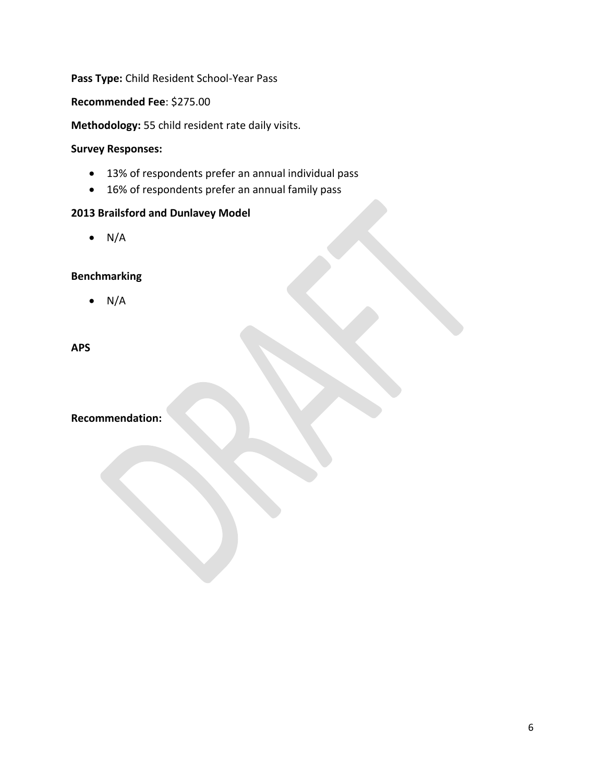# **Pass Type:** Child Resident School-Year Pass

**Recommended Fee**: \$275.00

**Methodology:** 55 child resident rate daily visits.

## **Survey Responses:**

- 13% of respondents prefer an annual individual pass
- 16% of respondents prefer an annual family pass

# **2013 Brailsford and Dunlavey Model**

 $\bullet$  N/A

# **Benchmarking**

 $\bullet$  N/A

**APS**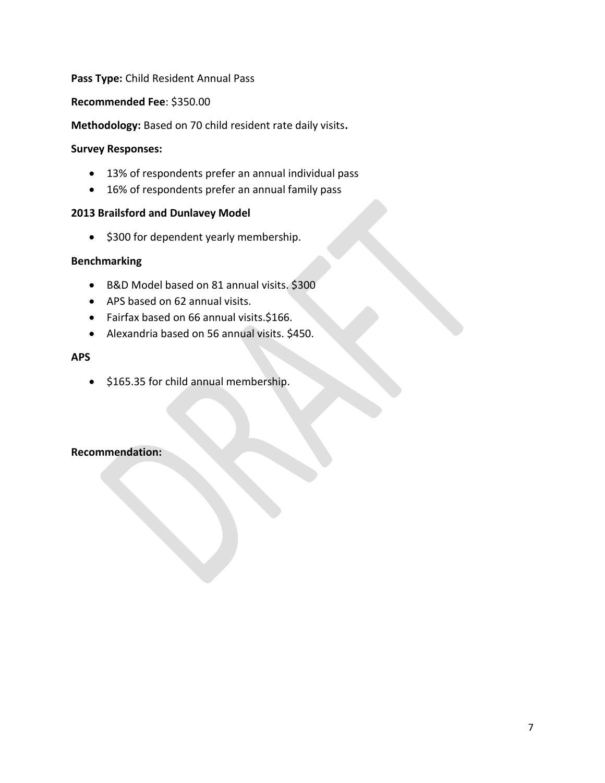## **Pass Type:** Child Resident Annual Pass

### **Recommended Fee**: \$350.00

**Methodology:** Based on 70 child resident rate daily visits**.** 

#### **Survey Responses:**

- 13% of respondents prefer an annual individual pass
- 16% of respondents prefer an annual family pass

#### **2013 Brailsford and Dunlavey Model**

• \$300 for dependent yearly membership.

## **Benchmarking**

- B&D Model based on 81 annual visits. \$300
- APS based on 62 annual visits.
- Fairfax based on 66 annual visits.\$166.
- Alexandria based on 56 annual visits. \$450.

#### **APS**

• \$165.35 for child annual membership.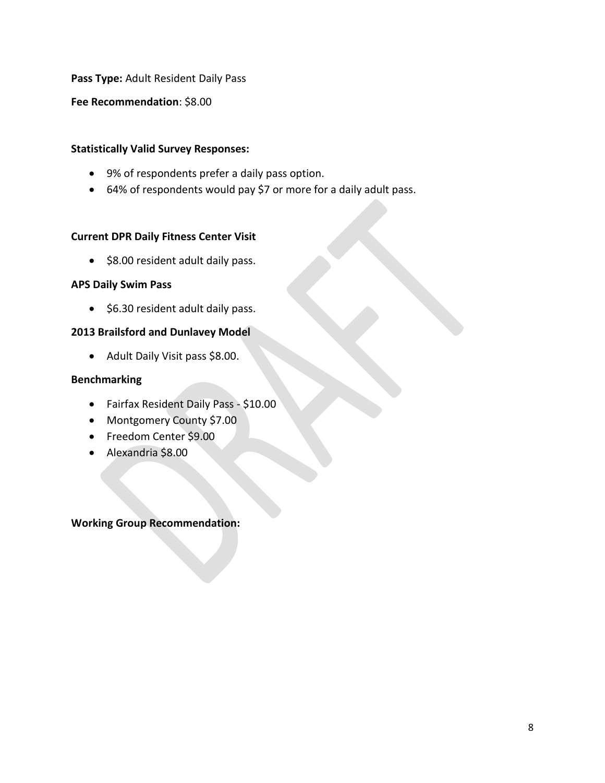**Pass Type:** Adult Resident Daily Pass

**Fee Recommendation**: \$8.00

## **Statistically Valid Survey Responses:**

- 9% of respondents prefer a daily pass option.
- 64% of respondents would pay \$7 or more for a daily adult pass.

## **Current DPR Daily Fitness Center Visit**

• \$8.00 resident adult daily pass.

## **APS Daily Swim Pass**

• \$6.30 resident adult daily pass.

# **2013 Brailsford and Dunlavey Model**

• Adult Daily Visit pass \$8.00.

## **Benchmarking**

- Fairfax Resident Daily Pass \$10.00
- Montgomery County \$7.00
- Freedom Center \$9.00
- Alexandria \$8.00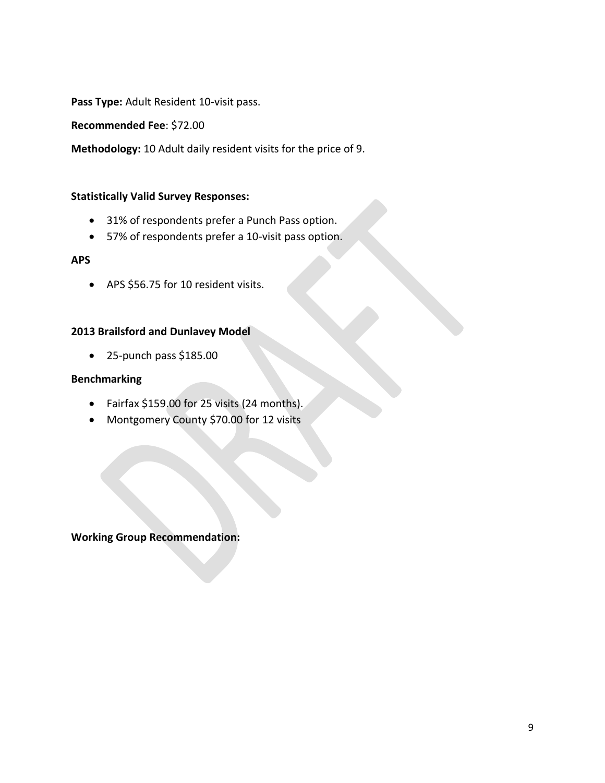**Pass Type:** Adult Resident 10-visit pass.

**Recommended Fee**: \$72.00

**Methodology:** 10 Adult daily resident visits for the price of 9.

## **Statistically Valid Survey Responses:**

- 31% of respondents prefer a Punch Pass option.
- 57% of respondents prefer a 10-visit pass option.

#### **APS**

• APS \$56.75 for 10 resident visits.

#### **2013 Brailsford and Dunlavey Model**

• 25-punch pass \$185.00

#### **Benchmarking**

- Fairfax \$159.00 for 25 visits (24 months).
- Montgomery County \$70.00 for 12 visits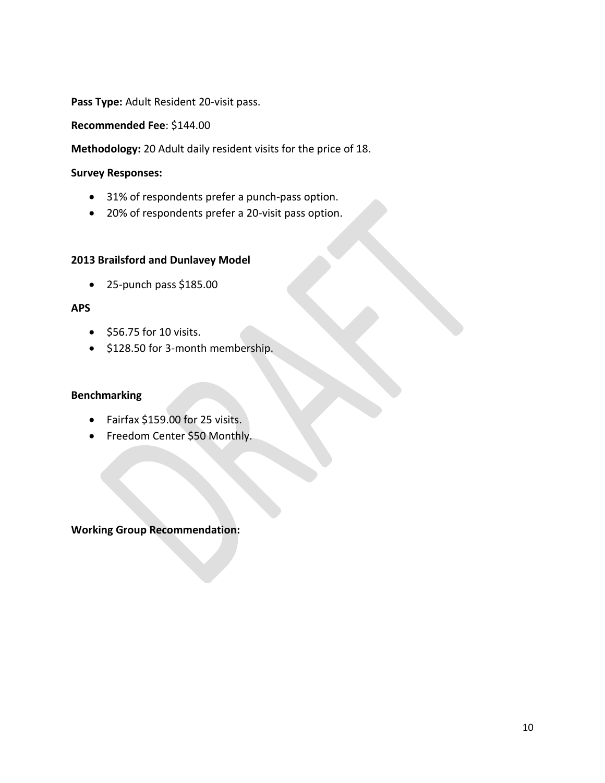**Pass Type:** Adult Resident 20-visit pass.

**Recommended Fee**: \$144.00

**Methodology:** 20 Adult daily resident visits for the price of 18.

#### **Survey Responses:**

- 31% of respondents prefer a punch-pass option.
- 20% of respondents prefer a 20-visit pass option.

# **2013 Brailsford and Dunlavey Model**

• 25-punch pass \$185.00

#### **APS**

- \$56.75 for 10 visits.
- \$128.50 for 3-month membership.

#### **Benchmarking**

- Fairfax \$159.00 for 25 visits.
- Freedom Center \$50 Monthly.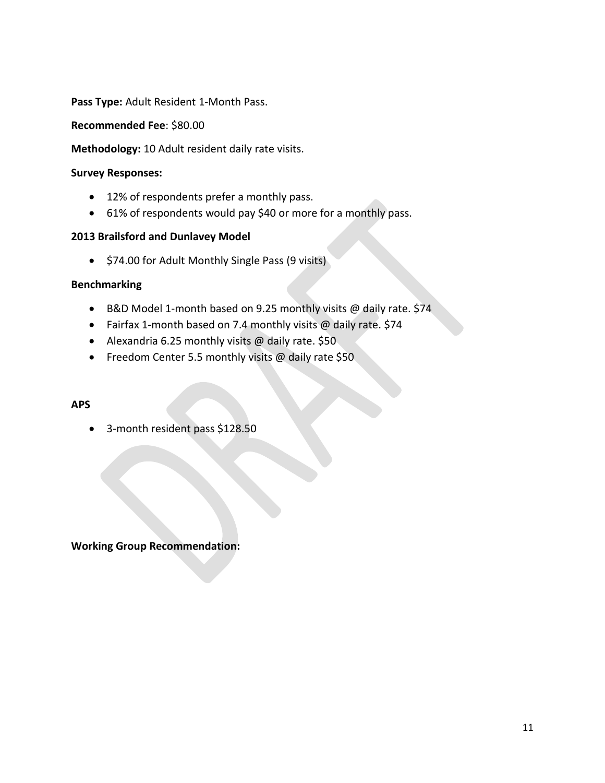**Pass Type:** Adult Resident 1-Month Pass.

**Recommended Fee**: \$80.00

**Methodology:** 10 Adult resident daily rate visits.

#### **Survey Responses:**

- 12% of respondents prefer a monthly pass.
- 61% of respondents would pay \$40 or more for a monthly pass.

#### **2013 Brailsford and Dunlavey Model**

• \$74.00 for Adult Monthly Single Pass (9 visits)

#### **Benchmarking**

- B&D Model 1-month based on 9.25 monthly visits @ daily rate. \$74
- Fairfax 1-month based on 7.4 monthly visits @ daily rate. \$74
- Alexandria 6.25 monthly visits @ daily rate. \$50
- Freedom Center 5.5 monthly visits @ daily rate \$50

#### **APS**

• 3-month resident pass \$128.50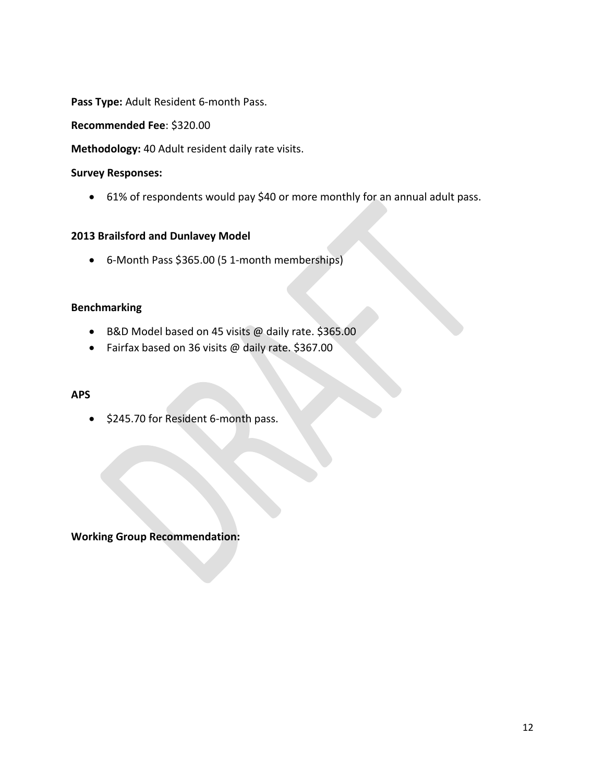**Pass Type:** Adult Resident 6-month Pass.

**Recommended Fee**: \$320.00

**Methodology:** 40 Adult resident daily rate visits.

#### **Survey Responses:**

• 61% of respondents would pay \$40 or more monthly for an annual adult pass.

### **2013 Brailsford and Dunlavey Model**

• 6-Month Pass \$365.00 (5 1-month memberships)

## **Benchmarking**

- B&D Model based on 45 visits @ daily rate. \$365.00
- Fairfax based on 36 visits @ daily rate. \$367.00

#### **APS**

• \$245.70 for Resident 6-month pass.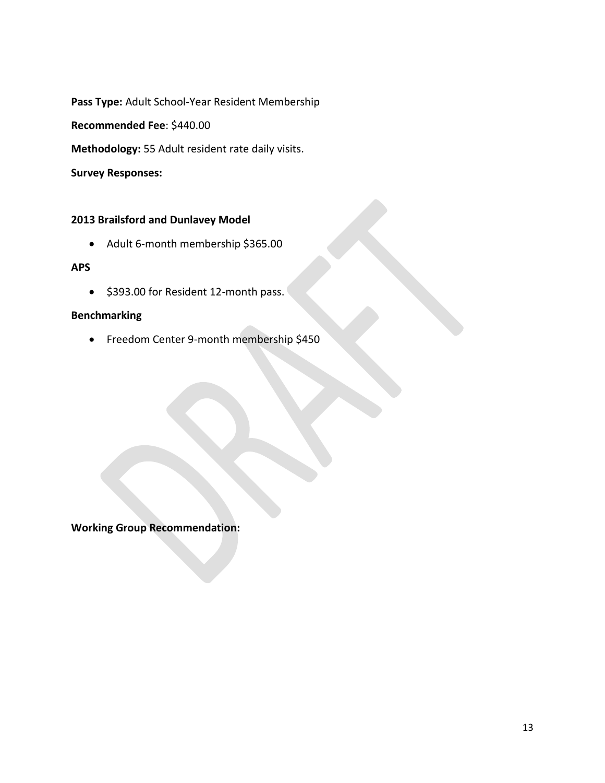**Pass Type:** Adult School-Year Resident Membership

**Recommended Fee**: \$440.00

**Methodology:** 55 Adult resident rate daily visits.

**Survey Responses:**

# **2013 Brailsford and Dunlavey Model**

• Adult 6-month membership \$365.00

## **APS**

• \$393.00 for Resident 12-month pass.

## **Benchmarking**

• Freedom Center 9-month membership \$450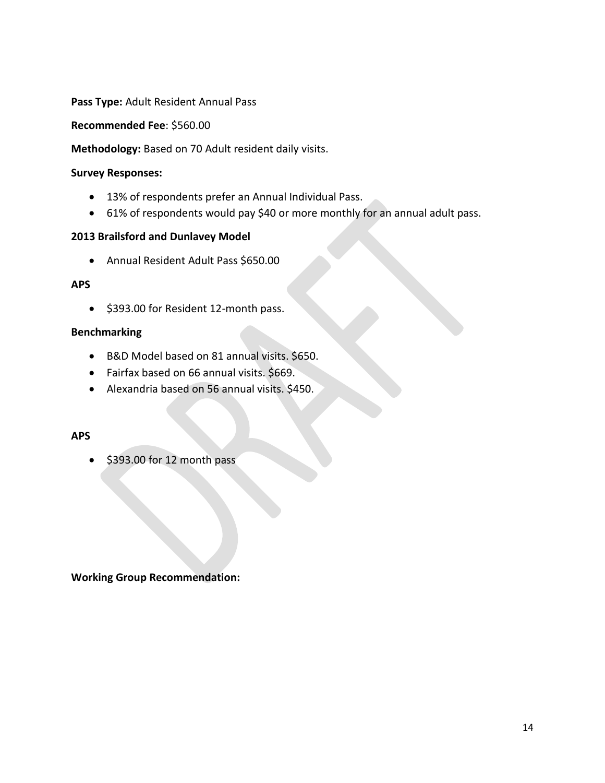**Pass Type:** Adult Resident Annual Pass

**Recommended Fee**: \$560.00

**Methodology:** Based on 70 Adult resident daily visits.

#### **Survey Responses:**

- 13% of respondents prefer an Annual Individual Pass.
- 61% of respondents would pay \$40 or more monthly for an annual adult pass.

## **2013 Brailsford and Dunlavey Model**

• Annual Resident Adult Pass \$650.00

## **APS**

• \$393.00 for Resident 12-month pass.

## **Benchmarking**

- B&D Model based on 81 annual visits. \$650.
- Fairfax based on 66 annual visits. \$669.
- Alexandria based on 56 annual visits. \$450.

#### **APS**

• \$393.00 for 12 month pass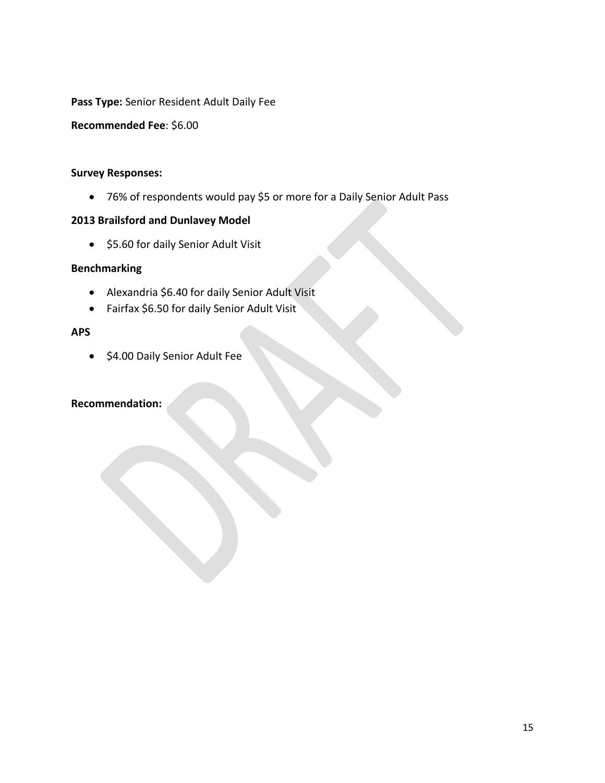**Pass Type:** Senior Resident Adult Daily Fee

**Recommended Fee**: \$6.00

#### **Survey Responses:**

• 76% of respondents would pay \$5 or more for a Daily Senior Adult Pass

## **2013 Brailsford and Dunlavey Model**

• \$5.60 for daily Senior Adult Visit

## **Benchmarking**

- Alexandria \$6.40 for daily Senior Adult Visit
- Fairfax \$6.50 for daily Senior Adult Visit

## **APS**

• \$4.00 Daily Senior Adult Fee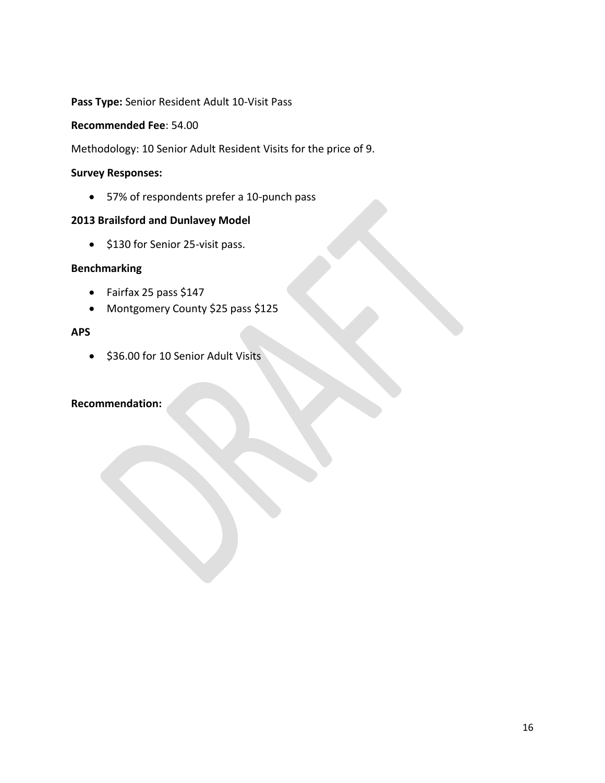## **Pass Type:** Senior Resident Adult 10-Visit Pass

## **Recommended Fee**: 54.00

Methodology: 10 Senior Adult Resident Visits for the price of 9.

### **Survey Responses:**

• 57% of respondents prefer a 10-punch pass

## **2013 Brailsford and Dunlavey Model**

• \$130 for Senior 25-visit pass.

# **Benchmarking**

- Fairfax 25 pass \$147
- Montgomery County \$25 pass \$125

## **APS**

• \$36.00 for 10 Senior Adult Visits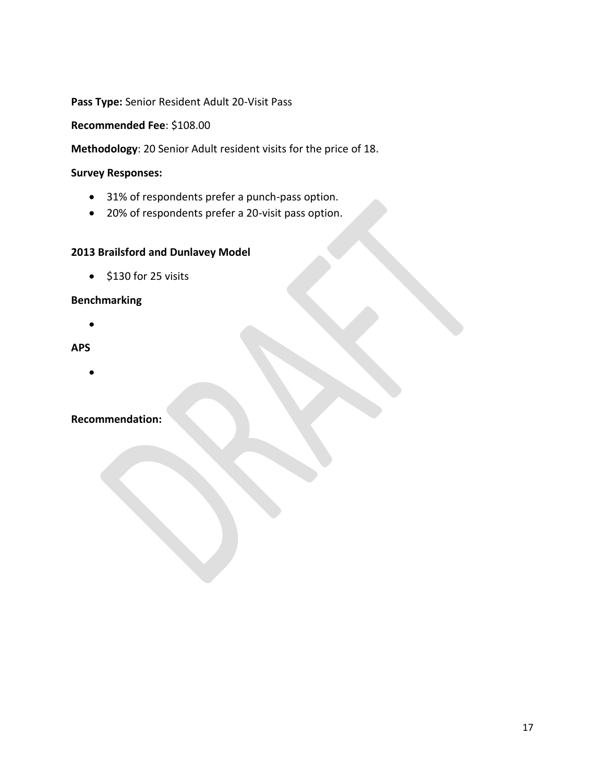**Pass Type:** Senior Resident Adult 20-Visit Pass

**Recommended Fee**: \$108.00

**Methodology**: 20 Senior Adult resident visits for the price of 18.

#### **Survey Responses:**

- 31% of respondents prefer a punch-pass option.
- 20% of respondents prefer a 20-visit pass option.

# **2013 Brailsford and Dunlavey Model**

• \$130 for 25 visits

## **Benchmarking**

•

#### **APS**

•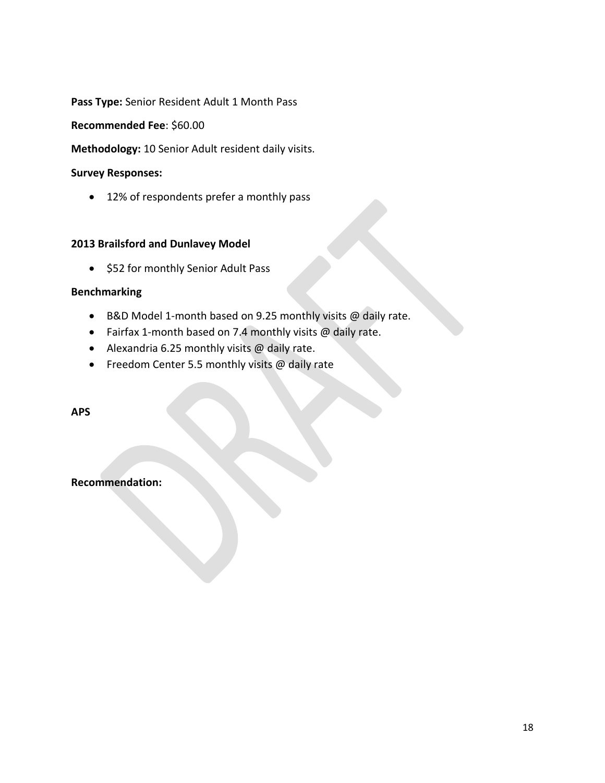**Pass Type:** Senior Resident Adult 1 Month Pass

**Recommended Fee**: \$60.00

**Methodology:** 10 Senior Adult resident daily visits.

#### **Survey Responses:**

• 12% of respondents prefer a monthly pass

#### **2013 Brailsford and Dunlavey Model**

• \$52 for monthly Senior Adult Pass

#### **Benchmarking**

- B&D Model 1-month based on 9.25 monthly visits @ daily rate.
- Fairfax 1-month based on 7.4 monthly visits @ daily rate.
- Alexandria 6.25 monthly visits @ daily rate.
- Freedom Center 5.5 monthly visits @ daily rate

#### **APS**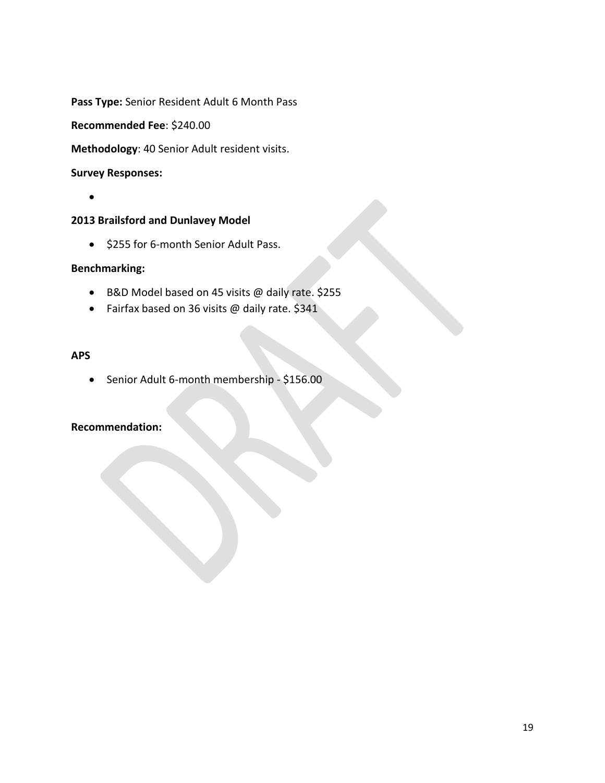**Pass Type:** Senior Resident Adult 6 Month Pass

**Recommended Fee**: \$240.00

**Methodology**: 40 Senior Adult resident visits.

#### **Survey Responses:**

•

## **2013 Brailsford and Dunlavey Model**

• \$255 for 6-month Senior Adult Pass.

## **Benchmarking:**

- B&D Model based on 45 visits @ daily rate. \$255
- Fairfax based on 36 visits @ daily rate. \$341

#### **APS**

• Senior Adult 6-month membership - \$156.00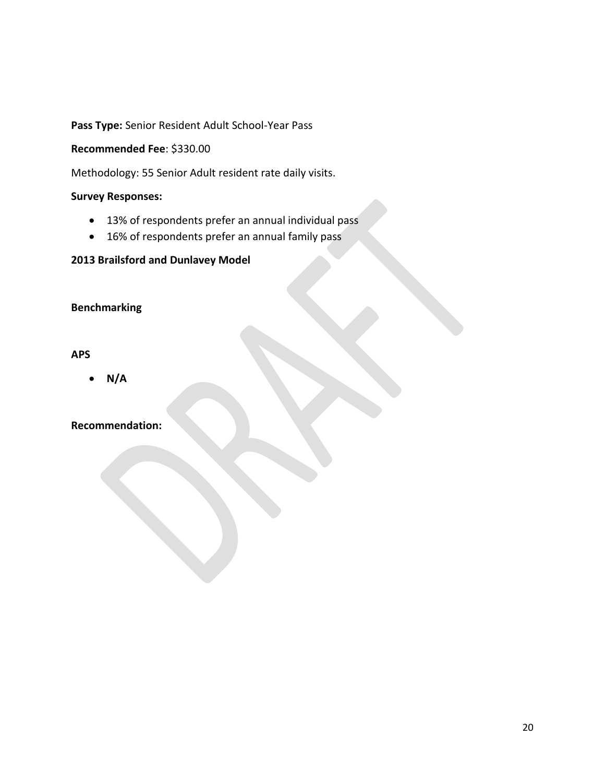**Pass Type:** Senior Resident Adult School-Year Pass

**Recommended Fee**: \$330.00

Methodology: 55 Senior Adult resident rate daily visits.

## **Survey Responses:**

- 13% of respondents prefer an annual individual pass
- 16% of respondents prefer an annual family pass

# **2013 Brailsford and Dunlavey Model**

# **Benchmarking**

## **APS**

• **N/A**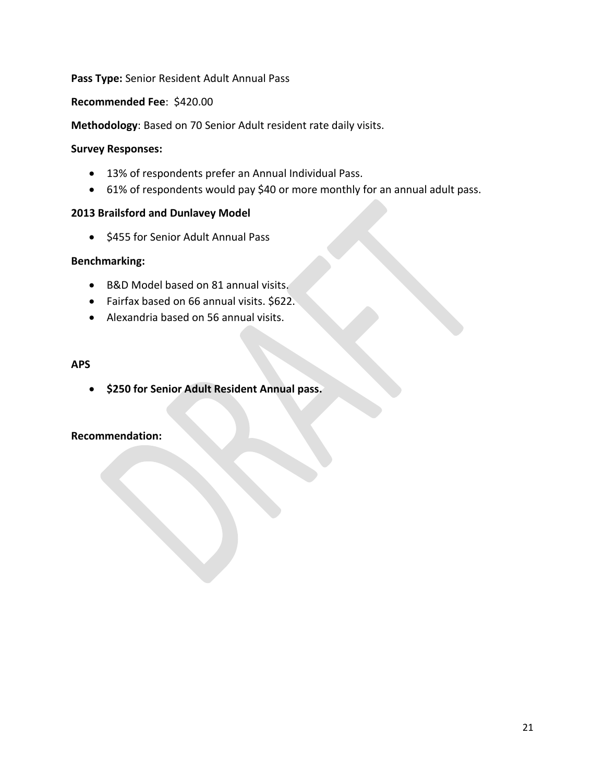## **Pass Type:** Senior Resident Adult Annual Pass

### **Recommended Fee**: \$420.00

**Methodology**: Based on 70 Senior Adult resident rate daily visits.

### **Survey Responses:**

- 13% of respondents prefer an Annual Individual Pass.
- 61% of respondents would pay \$40 or more monthly for an annual adult pass.

## **2013 Brailsford and Dunlavey Model**

• \$455 for Senior Adult Annual Pass

## **Benchmarking:**

- B&D Model based on 81 annual visits.
- Fairfax based on 66 annual visits. \$622.
- Alexandria based on 56 annual visits.

## **APS**

• **\$250 for Senior Adult Resident Annual pass.**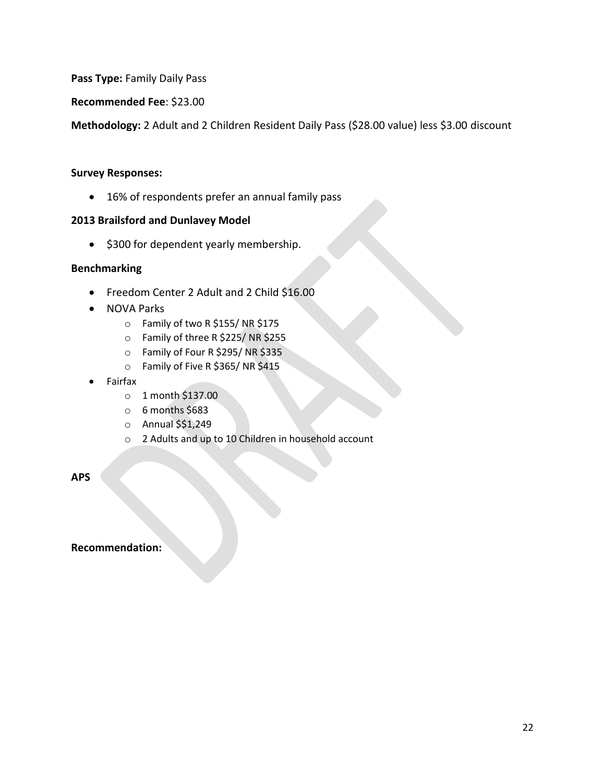**Pass Type:** Family Daily Pass

**Recommended Fee**: \$23.00

**Methodology:** 2 Adult and 2 Children Resident Daily Pass (\$28.00 value) less \$3.00 discount

#### **Survey Responses:**

• 16% of respondents prefer an annual family pass

#### **2013 Brailsford and Dunlavey Model**

• \$300 for dependent yearly membership.

#### **Benchmarking**

- Freedom Center 2 Adult and 2 Child \$16.00
- NOVA Parks
	- o Family of two R \$155/ NR \$175
	- o Family of three R \$225/ NR \$255
	- o Family of Four R \$295/ NR \$335
	- o Family of Five R \$365/ NR \$415
- Fairfax
	- o 1 month \$137.00
	- $\circ$  6 months \$683
	- o Annual \$\$1,249
	- o 2 Adults and up to 10 Children in household account

**APS**